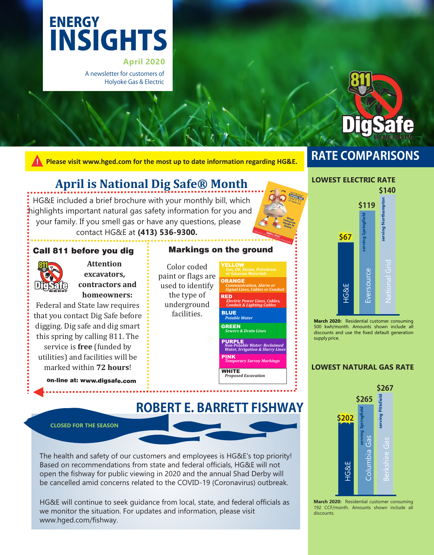# INSIGHTS **ENERGY**

**April 2020** A newsletter for customers of Holyoke Gas & Electric



**! Please visit www.hged.com for the most up to date information regarding HG&E.**

# **RATE COMPARISONS**

# **April is National Dig Safe® Month**

HG&E included a brief brochure with your monthly bill, which highlights important natural gas safety information for you and your family. If you smell gas or have any questions, please contact HG&E at **(413) 536-9300.**

# Call 811 before you dig



**Attention**  excavators, contractors and homeowners:

Federal and State law requires that you contact Dig Safe before digging. Dig safe and dig smart this spring by calling 811. The service is **free** (funded by utilities) and facilities will be marked within **72 hours**!

> on-line at: www.digsafe.com . . . . . . . . . . . . . . . . . .

# Markings on the ground

**ROBERT E. BARRETT FISHWAY** 

Color coded paint or flags are used to identify the type of underground facilities.



# **\$140 LOWEST ELECTRIC RATE**



**March 2020:** Residential customer consuming 500 kwh/month. Amounts shown include all discounts and use the fixed default generation supply price.

## **LOWEST NATURAL GAS RATE**



**March 2020:** Residential customer consuming 192 CCF/month. Amounts shown include all discounts.

#### **CLOSED FOR THE SEASON**

The health and safety of our customers and employees is HG&E's top priority! Based on recommendations from state and federal officials, HG&E will not open the fishway for public viewing in 2020 and the annual Shad Derby will be cancelled amid concerns related to the COVID-19 (Coronavirus) outbreak.

HG&E will continue to seek guidance from local, state, and federal officials as we monitor the situation. For updates and information, please visit www.hged.com/fishway.